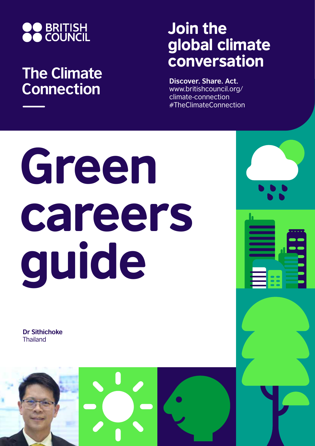

## **The Climate Connection**

## Join the global climate conversation

**Discover. Share. Act.** www.britishcouncil.org/ climate-connection #TheClimateConnection

# Green careers guide

**Dr Sithichoke Thailand** 

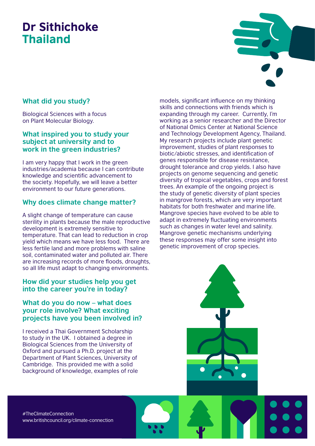### Dr Sithichoke Thailand

#### **What did you study?**

Biological Sciences with a focus on Plant Molecular Biology.

#### **What inspired you to study your subject at university and to work in the green industries?**

I am very happy that I work in the green industries/academia because I can contribute knowledge and scientific advancement to the society. Hopefully, we will leave a better environment to our future generations.

#### **Why does climate change matter?**

A slight change of temperature can cause sterility in plants because the male reproductive development is extremely sensitive to temperature. That can lead to reduction in crop yield which means we have less food. There are less fertile land and more problems with saline soil, contaminated water and polluted air. There are increasing records of more floods, droughts, so all life must adapt to changing environments.

#### **How did your studies help you get into the career you're in today?**

#### **What do you do now – what does your role involve? What exciting projects have you been involved in?**

I received a Thai Government Scholarship to study in the UK. I obtained a degree in Biological Sciences from the University of Oxford and pursued a Ph.D. project at the Department of Plant Sciences, University of Cambridge. This provided me with a solid background of knowledge, examples of role models, significant influence on my thinking skills and connections with friends which is expanding through my career. Currently, I'm working as a senior researcher and the Director of National Omics Center at National Science and Technology Development Agency, Thailand. My research projects include plant genetic improvement, studies of plant responses to biotic/abiotic stresses, and identification of genes responsible for disease resistance, drought tolerance and crop yields. I also have projects on genome sequencing and genetic diversity of tropical vegetables, crops and forest trees. An example of the ongoing project is the study of genetic diversity of plant species in mangrove forests, which are very important habitats for both freshwater and marine life. Mangrove species have evolved to be able to adapt in extremely fluctuating environments such as changes in water level and salinity. Mangrove genetic mechanisms underlying these responses may offer some insight into genetic improvement of crop species.

#TheClimateConnection www.britishcouncil.org/climate-connection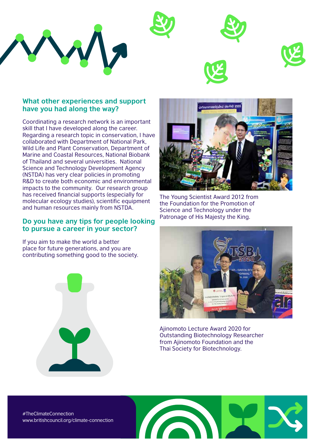





Coordinating a research network is an important skill that I have developed along the career. Regarding a research topic in conservation, I have collaborated with Department of National Park, Wild Life and Plant Conservation, Department of Marine and Coastal Resources, National Biobank of Thailand and several universities. National Science and Technology Development Agency (NSTDA) has very clear policies in promoting R&D to create both economic and environmental impacts to the community. Our research group has received financial supports (especially for molecular ecology studies), scientific equipment and human resources mainly from NSTDA.

#### **Do you have any tips for people looking to pursue a career in your sector?**

If you aim to make the world a better place for future generations, and you are contributing something good to the society.





The Young Scientist Award 2012 from the Foundation for the Promotion of Science and Technology under the Patronage of His Majesty the King.



Ajinomoto Lecture Award 2020 for Outstanding Biotechnology Researcher from Ajinomoto Foundation and the Thai Society for Biotechnology.

#TheClimateConnection www.britishcouncil.org/climate-connection